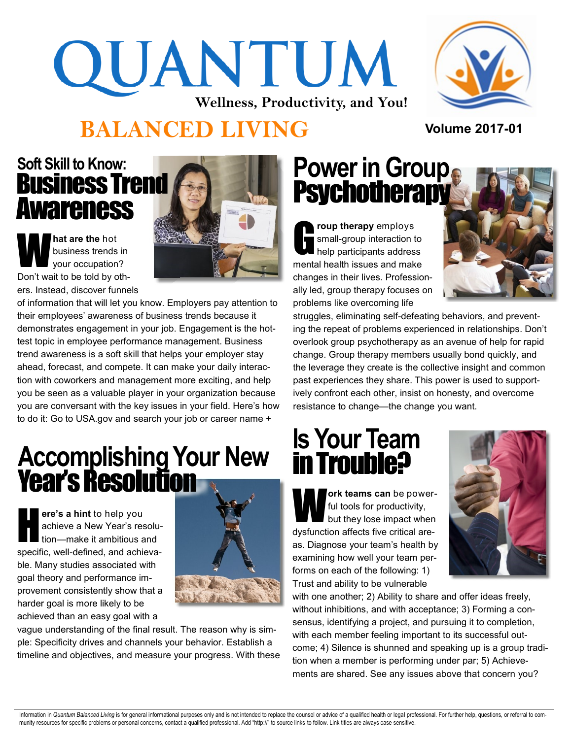# QUANTUM **Wellness, Productivity, and You!**



### **BALANCED LIVING Volume 2017-<sup>01</sup>**

#### Business Trend Awareness **Soft Skill to Know:**

W **hat are the** hot business trends in your occupation? Don't wait to be told by others. Instead, discover funnels



of information that will let you know. Employers pay attention to their employees' awareness of business trends because it demonstrates engagement in your job. Engagement is the hottest topic in employee performance management. Business trend awareness is a soft skill that helps your employer stay ahead, forecast, and compete. It can make your daily interaction with coworkers and management more exciting, and help you be seen as a valuable player in your organization because you are conversant with the key issues in your field. Here's how to do it: Go to USA.gov and search your job or career name +

# **Accomplishing Your New** Year's Resolution

H **ere's a hint** to help you achieve a New Year's resolution—make it ambitious and specific, well-defined, and achievable. Many studies associated with goal theory and performance improvement consistently show that a harder goal is more likely to be achieved than an easy goal with a



vague understanding of the final result. The reason why is simple: Specificity drives and channels your behavior. Establish a timeline and objectives, and measure your progress. With these

# **Power in Group Psychotherapy**

G **roup therapy** employs small-group interaction to help participants address mental health issues and make changes in their lives. Professionally led, group therapy focuses on problems like overcoming life



struggles, eliminating self-defeating behaviors, and preventing the repeat of problems experienced in relationships. Don't overlook group psychotherapy as an avenue of help for rapid change. Group therapy members usually bond quickly, and the leverage they create is the collective insight and common past experiences they share. This power is used to supportively confront each other, insist on honesty, and overcome resistance to change—the change you want.

# **Is Your Team**  in Trouble?

W **ork teams can** be powerful tools for productivity, but they lose impact when dysfunction affects five critical areas. Diagnose your team's health by examining how well your team performs on each of the following: 1) Trust and ability to be vulnerable



with one another; 2) Ability to share and offer ideas freely, without inhibitions, and with acceptance; 3) Forming a consensus, identifying a project, and pursuing it to completion, with each member feeling important to its successful outcome; 4) Silence is shunned and speaking up is a group tradition when a member is performing under par; 5) Achievements are shared. See any issues above that concern you?

Information in Quantum Balanced Living is for general informational purposes only and is not intended to replace the counsel or advice of a qualified health or legal professional. For further help, questions, or referral t munity resources for specific problems or personal concerns, contact a qualified professional. Add "http://" to source links to follow. Link titles are always case sensitive.